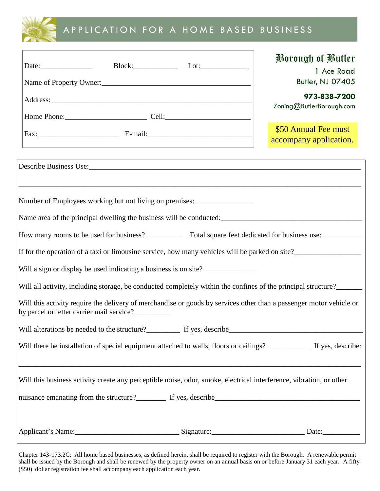

## A P P LI CATION FOR A HOME BASED BUSINESS

| Block: Lot: Lot:                                                                                                                                                                                                                     | <b>Porough of Butler</b><br>1 Ace Road<br><b>Butler, NJ 07405</b><br>973-838-7200<br>Zoning@ButlerBorough.com |
|--------------------------------------------------------------------------------------------------------------------------------------------------------------------------------------------------------------------------------------|---------------------------------------------------------------------------------------------------------------|
|                                                                                                                                                                                                                                      |                                                                                                               |
| Address: <u>and the same of the same of the same of the same of the same of the same of the same of the same of the same of the same of the same of the same of the same of the same of the same of the same of the same of the </u> |                                                                                                               |
|                                                                                                                                                                                                                                      |                                                                                                               |
|                                                                                                                                                                                                                                      | \$50 Annual Fee must<br>accompany application.                                                                |
| Describe Business Use: 1988 Containers and the Business Use: 1988 Containers and the Business Use: 1988 Containers and the Business Use: 1988 Containers and the Business Use: 1988 Containers and the Containers and the Cont       |                                                                                                               |
| Number of Employees working but not living on premises:<br>Name area of the principal dwelling the business will be conducted:                                                                                                       |                                                                                                               |
| How many rooms to be used for business?<br>Total square feet dedicated for business use:                                                                                                                                             |                                                                                                               |
| If for the operation of a taxi or limousine service, how many vehicles will be parked on site?                                                                                                                                       |                                                                                                               |
| Will a sign or display be used indicating a business is on site?                                                                                                                                                                     |                                                                                                               |
| Will all activity, including storage, be conducted completely within the confines of the principal structure?                                                                                                                        |                                                                                                               |
| Will this activity require the delivery of merchandise or goods by services other than a passenger motor vehicle or<br>by parcel or letter carrier mail service?                                                                     |                                                                                                               |
| Will alterations be needed to the structure? If yes, describe                                                                                                                                                                        |                                                                                                               |
| Will there be installation of special equipment attached to walls, floors or ceilings?<br>If yes, describe:                                                                                                                          |                                                                                                               |
| ,我们也不能在这里的时候,我们也不能在这里的时候,我们也不能会在这里的时候,我们也不能会在这里的时候,我们也不能会在这里的时候,我们也不能会在这里的时候,我们也不<br>Will this business activity create any perceptible noise, odor, smoke, electrical interference, vibration, or other                             |                                                                                                               |
| nuisance emanating from the structure?<br>If yes, describe<br><u>If yes, describe</u>                                                                                                                                                |                                                                                                               |
|                                                                                                                                                                                                                                      |                                                                                                               |

Chapter 143-173.2C: All home based businesses, as defined herein, shall be required to register with the Borough. A renewable permit shall be issued by the Borough and shall be renewed by the property owner on an annual basis on or before January 31 each year. A fifty (\$50) dollar registration fee shall accompany each application each year.